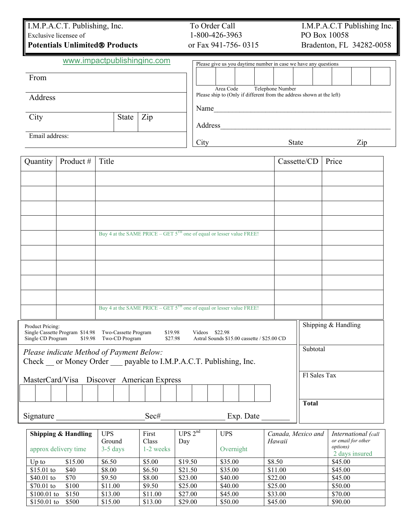## I.M.P.A.C.T. Publishing, Inc. To Order Call I.M.P.A.C.T Publishing Inc.<br>Exclusive licensee of 1-800-426-3963 PO Box 10058 Exclusive licensee of

From

City

Address

Email address:

## **Potentials Unlimited® Products** or Fax 941-756- 0315 Bradenton, FL 34282-0058

|  |  |  |  | www.impactpublishinginc.com |
|--|--|--|--|-----------------------------|
|--|--|--|--|-----------------------------|

| uplishinginc.com | Please give us you daytime number in case we have any questions       |  |  |  |  |  |  |
|------------------|-----------------------------------------------------------------------|--|--|--|--|--|--|
|                  |                                                                       |  |  |  |  |  |  |
|                  |                                                                       |  |  |  |  |  |  |
|                  | Area Code<br>Telephone Number                                         |  |  |  |  |  |  |
|                  | Please ship to (Only if different from the address shown at the left) |  |  |  |  |  |  |
|                  | Name                                                                  |  |  |  |  |  |  |
| Zip<br>State     |                                                                       |  |  |  |  |  |  |
|                  | Address                                                               |  |  |  |  |  |  |
|                  |                                                                       |  |  |  |  |  |  |
|                  | Zip<br>City<br><b>State</b>                                           |  |  |  |  |  |  |

| Quantity                              | Product #                                                                                                      | Title                                                                     | Cassette/CD         | Price                                 |  |  |  |  |  |  |  |  |
|---------------------------------------|----------------------------------------------------------------------------------------------------------------|---------------------------------------------------------------------------|---------------------|---------------------------------------|--|--|--|--|--|--|--|--|
|                                       |                                                                                                                |                                                                           |                     |                                       |  |  |  |  |  |  |  |  |
|                                       |                                                                                                                |                                                                           |                     |                                       |  |  |  |  |  |  |  |  |
|                                       |                                                                                                                |                                                                           |                     |                                       |  |  |  |  |  |  |  |  |
|                                       |                                                                                                                |                                                                           |                     |                                       |  |  |  |  |  |  |  |  |
|                                       | Buy 4 at the SAME PRICE – GET $5^{TH}$ one of equal or lesser value FREE!                                      |                                                                           |                     |                                       |  |  |  |  |  |  |  |  |
|                                       |                                                                                                                |                                                                           |                     |                                       |  |  |  |  |  |  |  |  |
|                                       |                                                                                                                |                                                                           |                     |                                       |  |  |  |  |  |  |  |  |
|                                       |                                                                                                                |                                                                           |                     |                                       |  |  |  |  |  |  |  |  |
|                                       |                                                                                                                |                                                                           |                     |                                       |  |  |  |  |  |  |  |  |
|                                       |                                                                                                                | Buy 4 at the SAME PRICE – GET $5^{TH}$ one of equal or lesser value FREE! |                     |                                       |  |  |  |  |  |  |  |  |
| Product Pricing:<br>Single CD Program | Single Cassette Program \$14.98 Two-Cassette Program<br>\$19.98                                                | Astral Sounds \$15.00 cassette / \$25.00 CD                               | Shipping & Handling |                                       |  |  |  |  |  |  |  |  |
|                                       | Please indicate Method of Payment Below:<br>Check _ or Money Order __ payable to I.M.P.A.C.T. Publishing, Inc. | Subtotal                                                                  |                     |                                       |  |  |  |  |  |  |  |  |
|                                       | MasterCard/Visa Discover American Express                                                                      |                                                                           | Fl Sales Tax        |                                       |  |  |  |  |  |  |  |  |
|                                       |                                                                                                                |                                                                           |                     |                                       |  |  |  |  |  |  |  |  |
| Signature                             |                                                                                                                | <b>Total</b>                                                              |                     |                                       |  |  |  |  |  |  |  |  |
|                                       | Shinning $\ell_1$ Handling IIDS                                                                                | $T\ddot{D}C$ $2^{nd}$<br>First<br><b>TIDC</b>                             |                     | Canada Movico and International Coall |  |  |  |  |  |  |  |  |

| <b>Shipping &amp; Handling</b> |         | <b>UPS</b> | First     | UPS $2^{nd}$ | <b>UPS</b> | Canada, Mexico and | International (call                |
|--------------------------------|---------|------------|-----------|--------------|------------|--------------------|------------------------------------|
|                                |         | Ground     | Class     | Day          |            | Hawaii             | or email for other                 |
| approx delivery time           |         | $3-5$ days | 1-2 weeks |              | Overnight  |                    | <i>options</i> )<br>2 days insured |
| $Up$ to                        | \$15.00 | \$6.50     | \$5.00    | \$19.50      | \$35.00    | \$8.50             | \$45.00                            |
| $$15.01$ to                    | \$40    | \$8.00     | \$6.50    | \$21.50      | \$35.00    | \$11.00            | \$45.00                            |
| \$40.01 to                     | \$70    | \$9.50     | \$8.00    | \$23.00      | \$40.00    | \$22.00            | \$45.00                            |
| \$70.01 to                     | \$100   | \$11.00    | \$9.50    | \$25.00      | \$40.00    | \$25.00            | \$50.00                            |
| $$100.01$ to                   | \$150   | \$13.00    | \$11.00   | \$27.00      | \$45.00    | \$33.00            | \$70.00                            |
| $$150.01$ to                   | \$500   | \$15.00    | \$13.00   | \$29.00      | \$50.00    | \$45.00            | \$90.00                            |